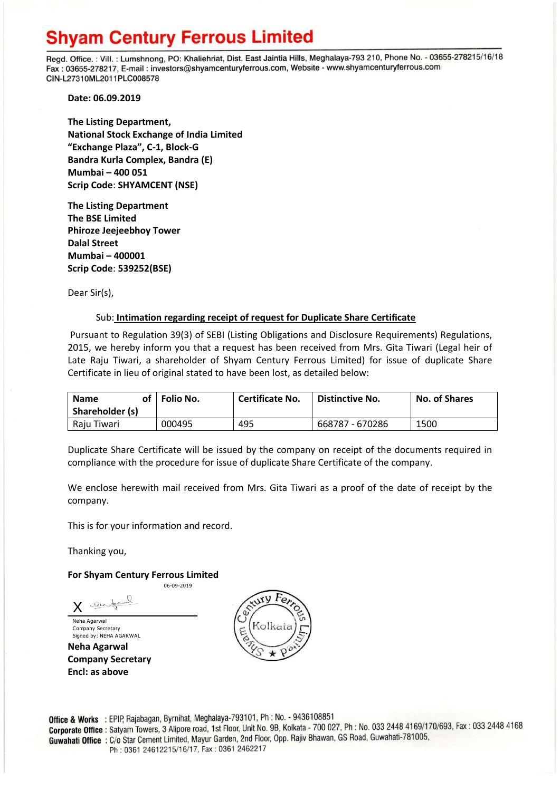## **Shyam Century Ferrous Limited**

Regd. Office.: Vill.: Lumshnong, PO: Khaliehriat, Dist. East Jaintia Hills, Meghalaya-793 210, Phone No. - 03655-278215/16/18 Fax: 03655-278217, E-mail: investors@shyamcenturyferrous.com, Website - www.shyamcenturyferrous.com CIN-L27310ML2011PLC008578

**Date: 06.09.2019**

**The Listing Department, National Stock Exchange of India Limited "Exchange Plaza", C-1, Block-G Bandra Kurla Complex, Bandra (E) Mumbai – 400 051 Scrip Code**: **SHYAMCENT (NSE)**

**The Listing Department The BSE Limited Phiroze Jeejeebhoy Tower Dalal Street Mumbai – 400001 Scrip Code**: **539252(BSE)**

Dear Sir(s),

## Sub: **Intimation regarding receipt of request for Duplicate Share Certificate**

Pursuant to Regulation 39(3) of SEBI (Listing Obligations and Disclosure Requirements) Regulations, 2015, we hereby inform you that a request has been received from Mrs. Gita Tiwari (Legal heir of Late Raju Tiwari, a shareholder of Shyam Century Ferrous Limited) for issue of duplicate Share Certificate in lieu of original stated to have been lost, as detailed below:

| of<br><b>Name</b><br>Shareholder (s) | Folio No. | <b>Certificate No.</b> | Distinctive No. | <b>No. of Shares</b> |
|--------------------------------------|-----------|------------------------|-----------------|----------------------|
| Raju Tiwari                          | 000495    | 495                    | 668787 - 670286 | 1500                 |

Duplicate Share Certificate will be issued by the company on receipt of the documents required in compliance with the procedure for issue of duplicate Share Certificate of the company.

We enclose herewith mail received from Mrs. Gita Tiwari as a proof of the date of receipt by the company.

This is for your information and record.

Thanking you,

## **For Shyam Century Ferrous Limited**

06-09-2019

Nels for X

Neha Agarwal Company Secretary Signed by: NEHA AGARWAL **Neha Agarwal Company Secretary Encl: as above**



Office & Works : EPIP, Rajabagan, Byrnihat, Meghalaya-793101, Ph : No. - 9436108851 **Office & Works** : EPIP, Rajabagan, Byrninat, Meghalaya-793101, FH. No. 93-56166651<br>**Corporate Office**: Satyam Towers, 3 Alipore road, 1st Floor, Unit No. 9B, Kolkata - 700 027, Ph : No. 033 2448 4169/170/693, Fax : 033 24 Guwahati Office: C/o Star Cement Limited, Mayur Garden, 2nd Floor, Opp. Rajiv Bhawan, GS Road, Guwahati-781005, Ph: 0361 24612215/16/17, Fax: 0361 2462217